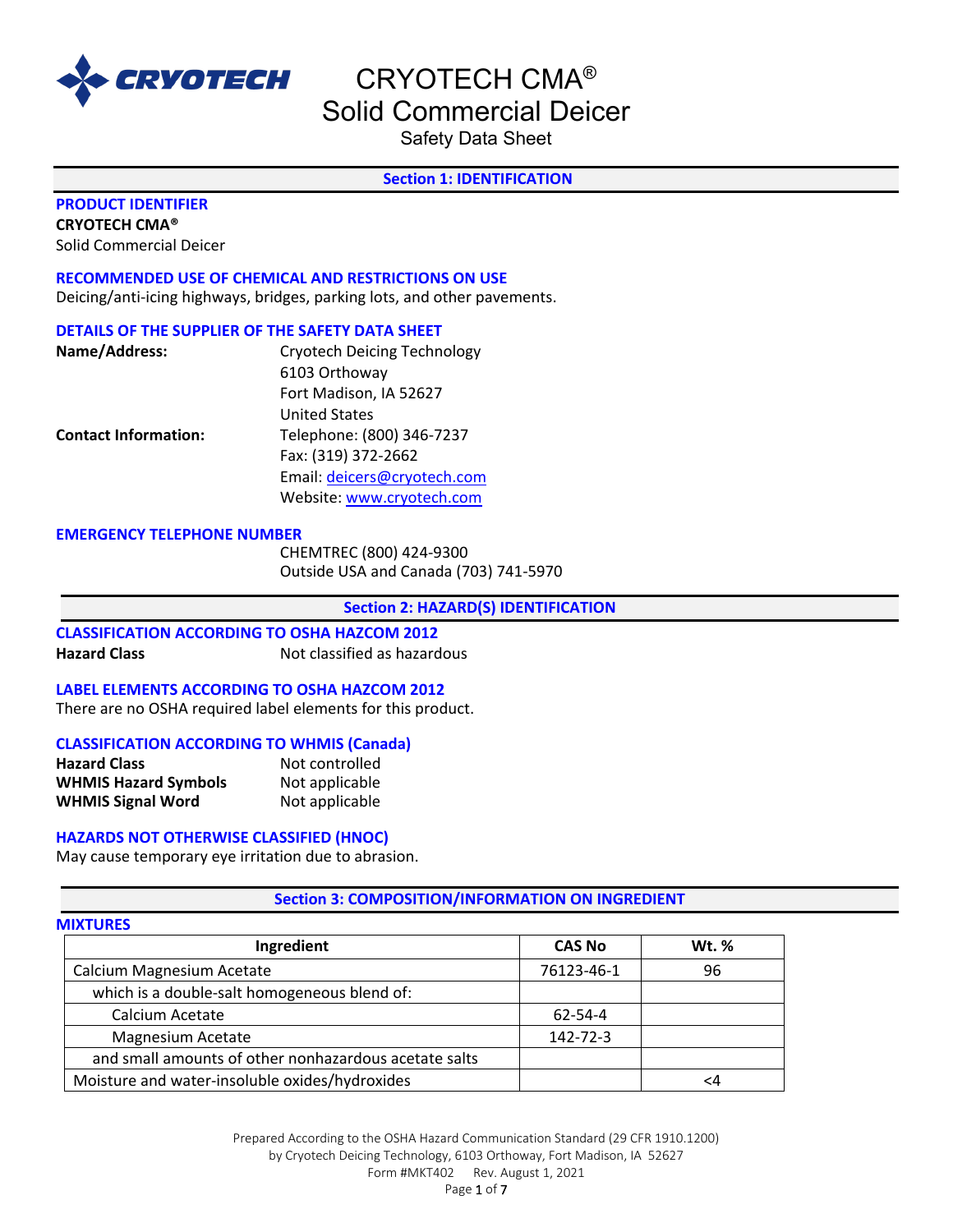

Safety Data Sheet

# **Section 1: IDENTIFICATION**

# **PRODUCT IDENTIFIER**

**CRYOTECH CMA®** 

Solid Commercial Deicer

**RECOMMENDED USE OF CHEMICAL AND RESTRICTIONS ON USE** Deicing/anti-icing highways, bridges, parking lots, and other pavements.

#### **DETAILS OF THE SUPPLIER OF THE SAFETY DATA SHEET**

| Name/Address:               | <b>Cryotech Deicing Technology</b> |
|-----------------------------|------------------------------------|
|                             | 6103 Orthoway                      |
|                             | Fort Madison, IA 52627             |
|                             | <b>United States</b>               |
| <b>Contact Information:</b> | Telephone: (800) 346-7237          |
|                             | Fax: (319) 372-2662                |
|                             | Email: deicers@cryotech.com        |
|                             | Website: www.cryotech.com          |

#### **EMERGENCY TELEPHONE NUMBER**

CHEMTREC (800) 424-9300 Outside USA and Canada (703) 741-5970

**Section 2: HAZARD(S) IDENTIFICATION** 

#### **CLASSIFICATION ACCORDING TO OSHA HAZCOM 2012 Hazard Class** Not classified as hazardous

# **LABEL ELEMENTS ACCORDING TO OSHA HAZCOM 2012**

There are no OSHA required label elements for this product.

#### **CLASSIFICATION ACCORDING TO WHMIS (Canada)**

| <b>Hazard Class</b>         | Not controlled |
|-----------------------------|----------------|
| <b>WHMIS Hazard Symbols</b> | Not applicable |
| <b>WHMIS Signal Word</b>    | Not applicable |

#### **HAZARDS NOT OTHERWISE CLASSIFIED (HNOC)**

May cause temporary eye irritation due to abrasion.

# **Section 3: COMPOSITION/INFORMATION ON INGREDIENT**

#### **MIXTURES**

| Ingredient                                            | <b>CAS No</b> | <b>Wt. %</b> |
|-------------------------------------------------------|---------------|--------------|
| Calcium Magnesium Acetate                             | 76123-46-1    | 96           |
| which is a double-salt homogeneous blend of:          |               |              |
| Calcium Acetate                                       | 62-54-4       |              |
| Magnesium Acetate                                     | 142-72-3      |              |
| and small amounts of other nonhazardous acetate salts |               |              |
| Moisture and water-insoluble oxides/hydroxides        |               |              |

Prepared According to the OSHA Hazard Communication Standard (29 CFR 1910.1200) by Cryotech Deicing Technology, 6103 Orthoway, Fort Madison, IA 52627 Form #MKT402 Rev. August 1, 2021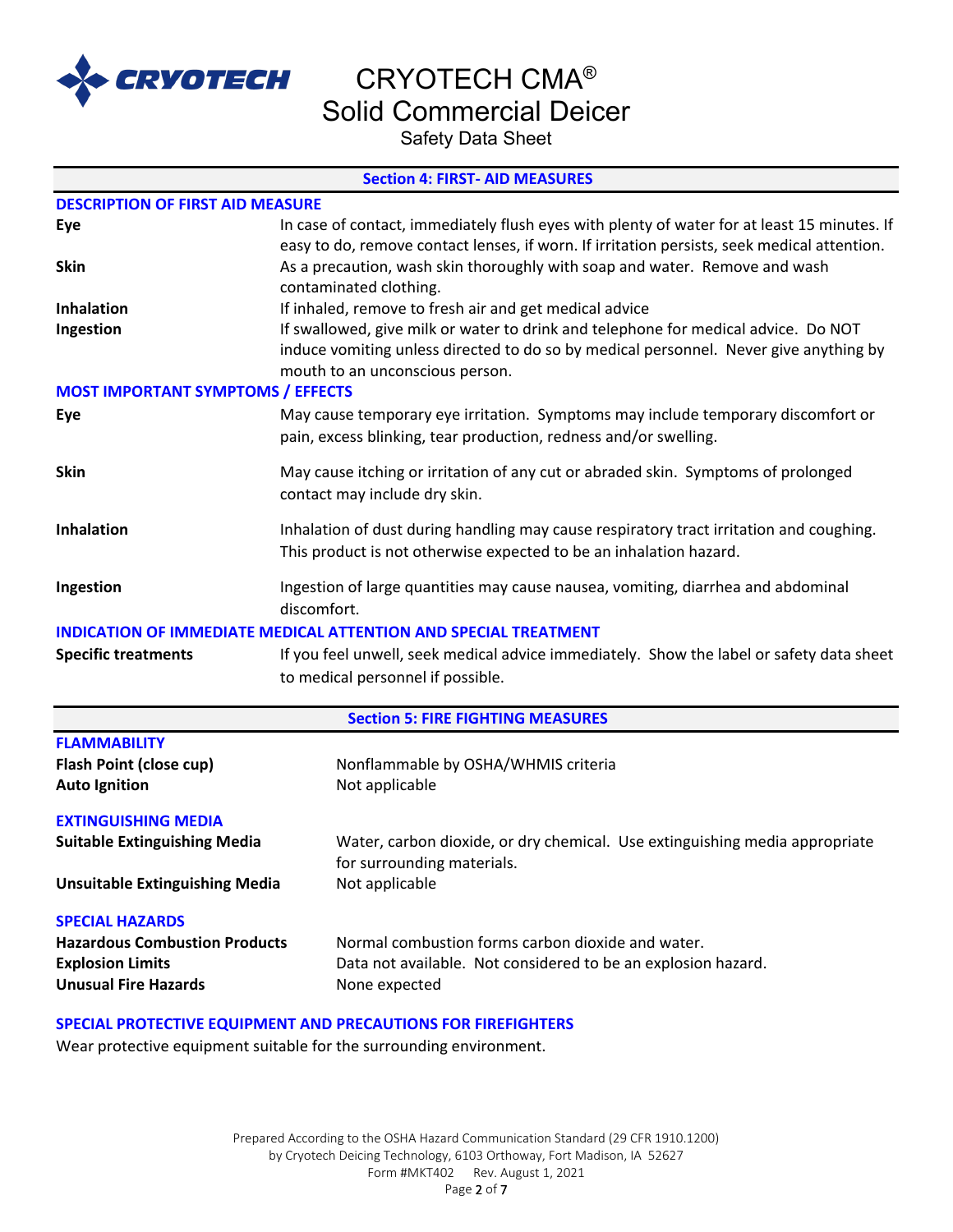

CRYOTECH CMA®

Solid Commercial Deicer

Safety Data Sheet

#### **Section 4: FIRST- AID MEASURES**

| <b>DESCRIPTION OF FIRST AID MEASURE</b>                                                                                                                     |                                                                                                                                                                                                                |  |  |  |
|-------------------------------------------------------------------------------------------------------------------------------------------------------------|----------------------------------------------------------------------------------------------------------------------------------------------------------------------------------------------------------------|--|--|--|
| Eye                                                                                                                                                         | In case of contact, immediately flush eyes with plenty of water for at least 15 minutes. If<br>easy to do, remove contact lenses, if worn. If irritation persists, seek medical attention.                     |  |  |  |
| <b>Skin</b>                                                                                                                                                 | As a precaution, wash skin thoroughly with soap and water. Remove and wash<br>contaminated clothing.                                                                                                           |  |  |  |
| Inhalation                                                                                                                                                  | If inhaled, remove to fresh air and get medical advice                                                                                                                                                         |  |  |  |
| Ingestion                                                                                                                                                   | If swallowed, give milk or water to drink and telephone for medical advice. Do NOT<br>induce vomiting unless directed to do so by medical personnel. Never give anything by<br>mouth to an unconscious person. |  |  |  |
| <b>MOST IMPORTANT SYMPTOMS / EFFECTS</b>                                                                                                                    |                                                                                                                                                                                                                |  |  |  |
| Eye                                                                                                                                                         | May cause temporary eye irritation. Symptoms may include temporary discomfort or<br>pain, excess blinking, tear production, redness and/or swelling.                                                           |  |  |  |
| <b>Skin</b>                                                                                                                                                 | May cause itching or irritation of any cut or abraded skin. Symptoms of prolonged<br>contact may include dry skin.                                                                                             |  |  |  |
| Inhalation                                                                                                                                                  | Inhalation of dust during handling may cause respiratory tract irritation and coughing.<br>This product is not otherwise expected to be an inhalation hazard.                                                  |  |  |  |
| Ingestion                                                                                                                                                   | Ingestion of large quantities may cause nausea, vomiting, diarrhea and abdominal<br>discomfort.                                                                                                                |  |  |  |
|                                                                                                                                                             | <b>INDICATION OF IMMEDIATE MEDICAL ATTENTION AND SPECIAL TREATMENT</b>                                                                                                                                         |  |  |  |
| If you feel unwell, seek medical advice immediately. Show the label or safety data sheet<br><b>Specific treatments</b><br>to medical personnel if possible. |                                                                                                                                                                                                                |  |  |  |
|                                                                                                                                                             | <b>Section 5: FIRE FIGHTING MEASURES</b>                                                                                                                                                                       |  |  |  |
| <b>FLAMMABILITY</b>                                                                                                                                         |                                                                                                                                                                                                                |  |  |  |
| Flash Point (close cup)<br><b>Auto Ignition</b>                                                                                                             | Nonflammable by OSHA/WHMIS criteria<br>Not applicable                                                                                                                                                          |  |  |  |
| <b>EXTINGUISHING MEDIA</b>                                                                                                                                  |                                                                                                                                                                                                                |  |  |  |
| <b>Suitable Extinguishing Media</b>                                                                                                                         | Water, carbon dioxide, or dry chemical. Use extinguishing media appropriate<br>for surrounding materials.                                                                                                      |  |  |  |
| <b>Unsuitable Extinguishing Media</b>                                                                                                                       | Not applicable                                                                                                                                                                                                 |  |  |  |
| <b>SPECIAL HAZARDS</b>                                                                                                                                      |                                                                                                                                                                                                                |  |  |  |
| <b>Hazardous Combustion Products</b>                                                                                                                        | Normal combustion forms carbon dioxide and water.                                                                                                                                                              |  |  |  |
| <b>Explosion Limits</b><br><b>Unusual Fire Hazards</b>                                                                                                      | Data not available. Not considered to be an explosion hazard.<br>None expected                                                                                                                                 |  |  |  |
|                                                                                                                                                             | SPECIAL PROTECTIVE EQUIPMENT AND PRECAUTIONS FOR FIREFIGHTERS                                                                                                                                                  |  |  |  |

Wear protective equipment suitable for the surrounding environment.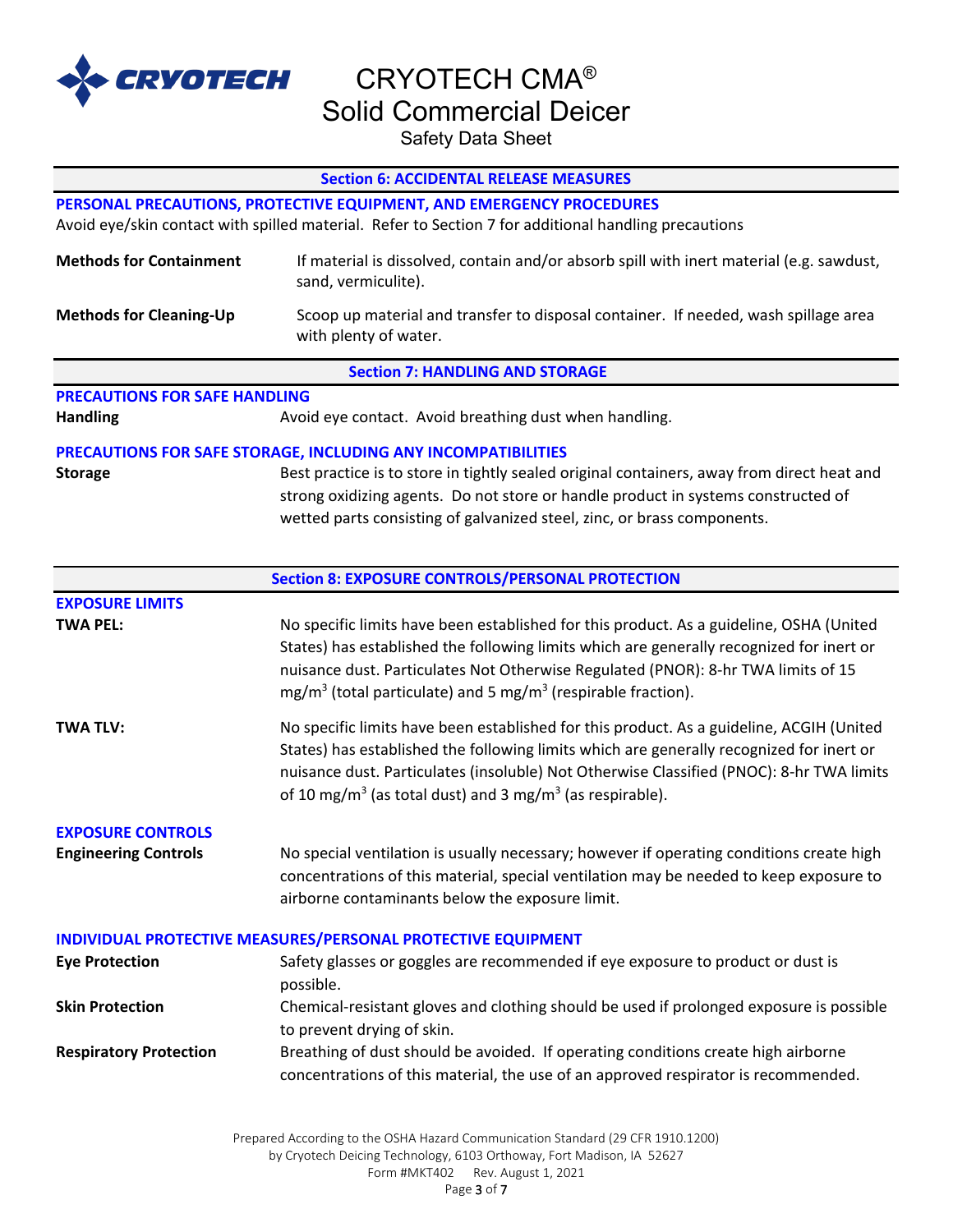

Safety Data Sheet

|                                      | <b>Section 6: ACCIDENTAL RELEASE MEASURES</b>                                                                                                                                                                                                                                                                                                                        |
|--------------------------------------|----------------------------------------------------------------------------------------------------------------------------------------------------------------------------------------------------------------------------------------------------------------------------------------------------------------------------------------------------------------------|
|                                      | PERSONAL PRECAUTIONS, PROTECTIVE EQUIPMENT, AND EMERGENCY PROCEDURES                                                                                                                                                                                                                                                                                                 |
|                                      | Avoid eye/skin contact with spilled material. Refer to Section 7 for additional handling precautions                                                                                                                                                                                                                                                                 |
| <b>Methods for Containment</b>       | If material is dissolved, contain and/or absorb spill with inert material (e.g. sawdust,<br>sand, vermiculite).                                                                                                                                                                                                                                                      |
| <b>Methods for Cleaning-Up</b>       | Scoop up material and transfer to disposal container. If needed, wash spillage area<br>with plenty of water.                                                                                                                                                                                                                                                         |
|                                      | <b>Section 7: HANDLING AND STORAGE</b>                                                                                                                                                                                                                                                                                                                               |
| <b>PRECAUTIONS FOR SAFE HANDLING</b> |                                                                                                                                                                                                                                                                                                                                                                      |
| <b>Handling</b>                      | Avoid eye contact. Avoid breathing dust when handling.                                                                                                                                                                                                                                                                                                               |
|                                      | PRECAUTIONS FOR SAFE STORAGE, INCLUDING ANY INCOMPATIBILITIES                                                                                                                                                                                                                                                                                                        |
| <b>Storage</b>                       | Best practice is to store in tightly sealed original containers, away from direct heat and                                                                                                                                                                                                                                                                           |
|                                      | strong oxidizing agents. Do not store or handle product in systems constructed of                                                                                                                                                                                                                                                                                    |
|                                      | wetted parts consisting of galvanized steel, zinc, or brass components.                                                                                                                                                                                                                                                                                              |
|                                      |                                                                                                                                                                                                                                                                                                                                                                      |
|                                      | <b>Section 8: EXPOSURE CONTROLS/PERSONAL PROTECTION</b>                                                                                                                                                                                                                                                                                                              |
| <b>EXPOSURE LIMITS</b>               |                                                                                                                                                                                                                                                                                                                                                                      |
| <b>TWA PEL:</b>                      | No specific limits have been established for this product. As a guideline, OSHA (United<br>States) has established the following limits which are generally recognized for inert or<br>nuisance dust. Particulates Not Otherwise Regulated (PNOR): 8-hr TWA limits of 15<br>$mg/m3$ (total particulate) and 5 mg/m <sup>3</sup> (respirable fraction).               |
| <b>TWA TLV:</b>                      | No specific limits have been established for this product. As a guideline, ACGIH (United<br>States) has established the following limits which are generally recognized for inert or<br>nuisance dust. Particulates (insoluble) Not Otherwise Classified (PNOC): 8-hr TWA limits<br>of 10 mg/m <sup>3</sup> (as total dust) and 3 mg/m <sup>3</sup> (as respirable). |
| <b>EXPOSURE CONTROLS</b>             |                                                                                                                                                                                                                                                                                                                                                                      |
| <b>Engineering Controls</b>          | No special ventilation is usually necessary; however if operating conditions create high<br>concentrations of this material, special ventilation may be needed to keep exposure to<br>airborne contaminants below the exposure limit.                                                                                                                                |
|                                      | INDIVIDUAL PROTECTIVE MEASURES/PERSONAL PROTECTIVE EQUIPMENT                                                                                                                                                                                                                                                                                                         |
| <b>Eye Protection</b>                | Safety glasses or goggles are recommended if eye exposure to product or dust is<br>possible.                                                                                                                                                                                                                                                                         |
| <b>Skin Protection</b>               | Chemical-resistant gloves and clothing should be used if prolonged exposure is possible<br>to prevent drying of skin.                                                                                                                                                                                                                                                |
| <b>Respiratory Protection</b>        | Breathing of dust should be avoided. If operating conditions create high airborne<br>concentrations of this material, the use of an approved respirator is recommended.                                                                                                                                                                                              |
|                                      |                                                                                                                                                                                                                                                                                                                                                                      |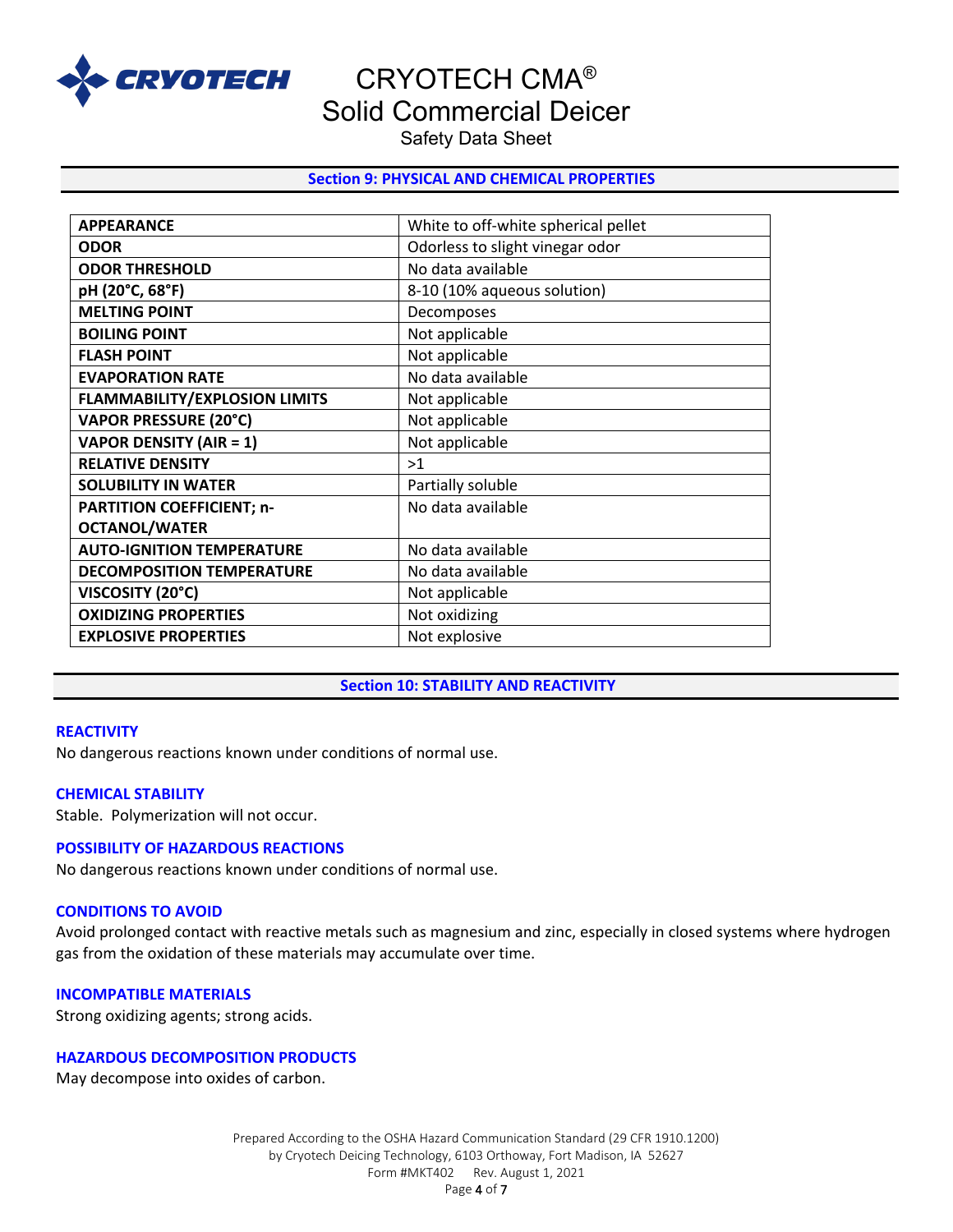

Safety Data Sheet

# **Section 9: PHYSICAL AND CHEMICAL PROPERTIES**

| <b>APPEARANCE</b>                    | White to off-white spherical pellet |
|--------------------------------------|-------------------------------------|
| <b>ODOR</b>                          | Odorless to slight vinegar odor     |
| <b>ODOR THRESHOLD</b>                | No data available                   |
| pH (20°C, 68°F)                      | 8-10 (10% aqueous solution)         |
| <b>MELTING POINT</b>                 | Decomposes                          |
| <b>BOILING POINT</b>                 | Not applicable                      |
| <b>FLASH POINT</b>                   | Not applicable                      |
| <b>EVAPORATION RATE</b>              | No data available                   |
| <b>FLAMMABILITY/EXPLOSION LIMITS</b> | Not applicable                      |
| <b>VAPOR PRESSURE (20°C)</b>         | Not applicable                      |
| <b>VAPOR DENSITY (AIR = 1)</b>       | Not applicable                      |
| <b>RELATIVE DENSITY</b>              | >1                                  |
| <b>SOLUBILITY IN WATER</b>           | Partially soluble                   |
| <b>PARTITION COEFFICIENT; n-</b>     | No data available                   |
| <b>OCTANOL/WATER</b>                 |                                     |
| <b>AUTO-IGNITION TEMPERATURE</b>     | No data available                   |
| <b>DECOMPOSITION TEMPERATURE</b>     | No data available                   |
| VISCOSITY (20°C)                     | Not applicable                      |
| <b>OXIDIZING PROPERTIES</b>          | Not oxidizing                       |
| <b>EXPLOSIVE PROPERTIES</b>          | Not explosive                       |
|                                      |                                     |

# **Section 10: STABILITY AND REACTIVITY**

#### **REACTIVITY**

No dangerous reactions known under conditions of normal use.

# **CHEMICAL STABILITY**

Stable. Polymerization will not occur.

# **POSSIBILITY OF HAZARDOUS REACTIONS**

No dangerous reactions known under conditions of normal use.

#### **CONDITIONS TO AVOID**

Avoid prolonged contact with reactive metals such as magnesium and zinc, especially in closed systems where hydrogen gas from the oxidation of these materials may accumulate over time.

#### **INCOMPATIBLE MATERIALS**

Strong oxidizing agents; strong acids.

# **HAZARDOUS DECOMPOSITION PRODUCTS**

May decompose into oxides of carbon.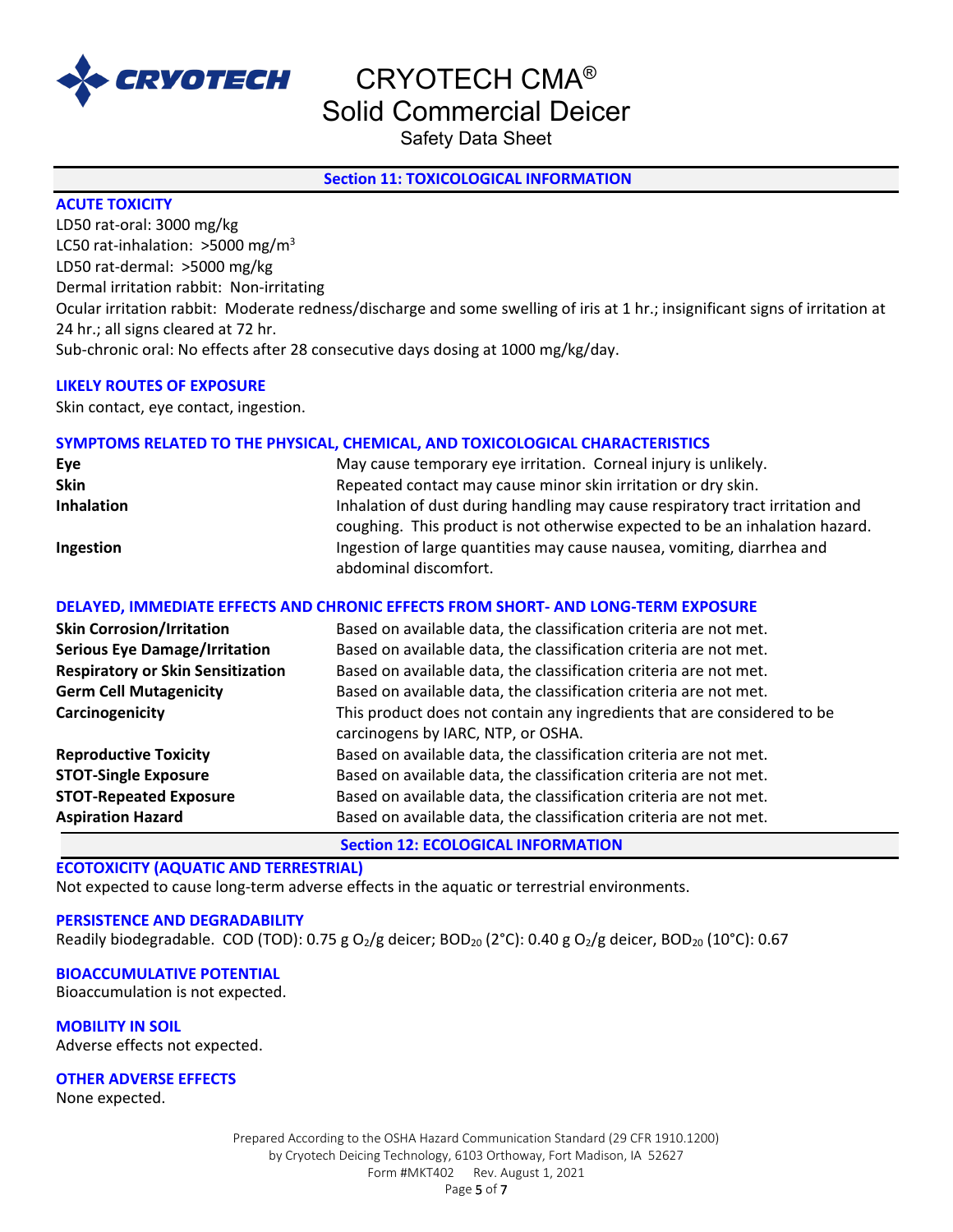

Safety Data Sheet

# **Section 11: TOXICOLOGICAL INFORMATION**

# **ACUTE TOXICITY**

LD50 rat-oral: 3000 mg/kg LC50 rat-inhalation:  $>$ 5000 mg/m<sup>3</sup> LD50 rat-dermal: >5000 mg/kg Dermal irritation rabbit: Non-irritating Ocular irritation rabbit: Moderate redness/discharge and some swelling of iris at 1 hr.; insignificant signs of irritation at 24 hr.; all signs cleared at 72 hr. Sub-chronic oral: No effects after 28 consecutive days dosing at 1000 mg/kg/day.

# **LIKELY ROUTES OF EXPOSURE**

Skin contact, eye contact, ingestion.

# **SYMPTOMS RELATED TO THE PHYSICAL, CHEMICAL, AND TOXICOLOGICAL CHARACTERISTICS**

| Eye               | May cause temporary eye irritation. Corneal injury is unlikely.               |
|-------------------|-------------------------------------------------------------------------------|
| <b>Skin</b>       | Repeated contact may cause minor skin irritation or dry skin.                 |
| <b>Inhalation</b> | Inhalation of dust during handling may cause respiratory tract irritation and |
|                   | coughing. This product is not otherwise expected to be an inhalation hazard.  |
| Ingestion         | Ingestion of large quantities may cause nausea, vomiting, diarrhea and        |
|                   | abdominal discomfort.                                                         |

# **DELAYED, IMMEDIATE EFFECTS AND CHRONIC EFFECTS FROM SHORT- AND LONG-TERM EXPOSURE**

| <b>Skin Corrosion/Irritation</b>         | Based on available data, the classification criteria are not met.                                             |
|------------------------------------------|---------------------------------------------------------------------------------------------------------------|
| <b>Serious Eye Damage/Irritation</b>     | Based on available data, the classification criteria are not met.                                             |
| <b>Respiratory or Skin Sensitization</b> | Based on available data, the classification criteria are not met.                                             |
| <b>Germ Cell Mutagenicity</b>            | Based on available data, the classification criteria are not met.                                             |
| Carcinogenicity                          | This product does not contain any ingredients that are considered to be<br>carcinogens by IARC, NTP, or OSHA. |
| <b>Reproductive Toxicity</b>             | Based on available data, the classification criteria are not met.                                             |
| <b>STOT-Single Exposure</b>              | Based on available data, the classification criteria are not met.                                             |
| <b>STOT-Repeated Exposure</b>            | Based on available data, the classification criteria are not met.                                             |
| <b>Aspiration Hazard</b>                 | Based on available data, the classification criteria are not met.                                             |

**Section 12: ECOLOGICAL INFORMATION**

# **ECOTOXICITY (AQUATIC AND TERRESTRIAL)**

Not expected to cause long-term adverse effects in the aquatic or terrestrial environments.

#### **PERSISTENCE AND DEGRADABILITY**

Readily biodegradable. COD (TOD): 0.75 g O<sub>2</sub>/g deicer; BOD<sub>20</sub> (2°C): 0.40 g O<sub>2</sub>/g deicer, BOD<sub>20</sub> (10°C): 0.67

#### **BIOACCUMULATIVE POTENTIAL**

Bioaccumulation is not expected.

**MOBILITY IN SOIL**

Adverse effects not expected.

#### **OTHER ADVERSE EFFECTS**

None expected.

Prepared According to the OSHA Hazard Communication Standard (29 CFR 1910.1200) by Cryotech Deicing Technology, 6103 Orthoway, Fort Madison, IA 52627 Form #MKT402 Rev. August 1, 2021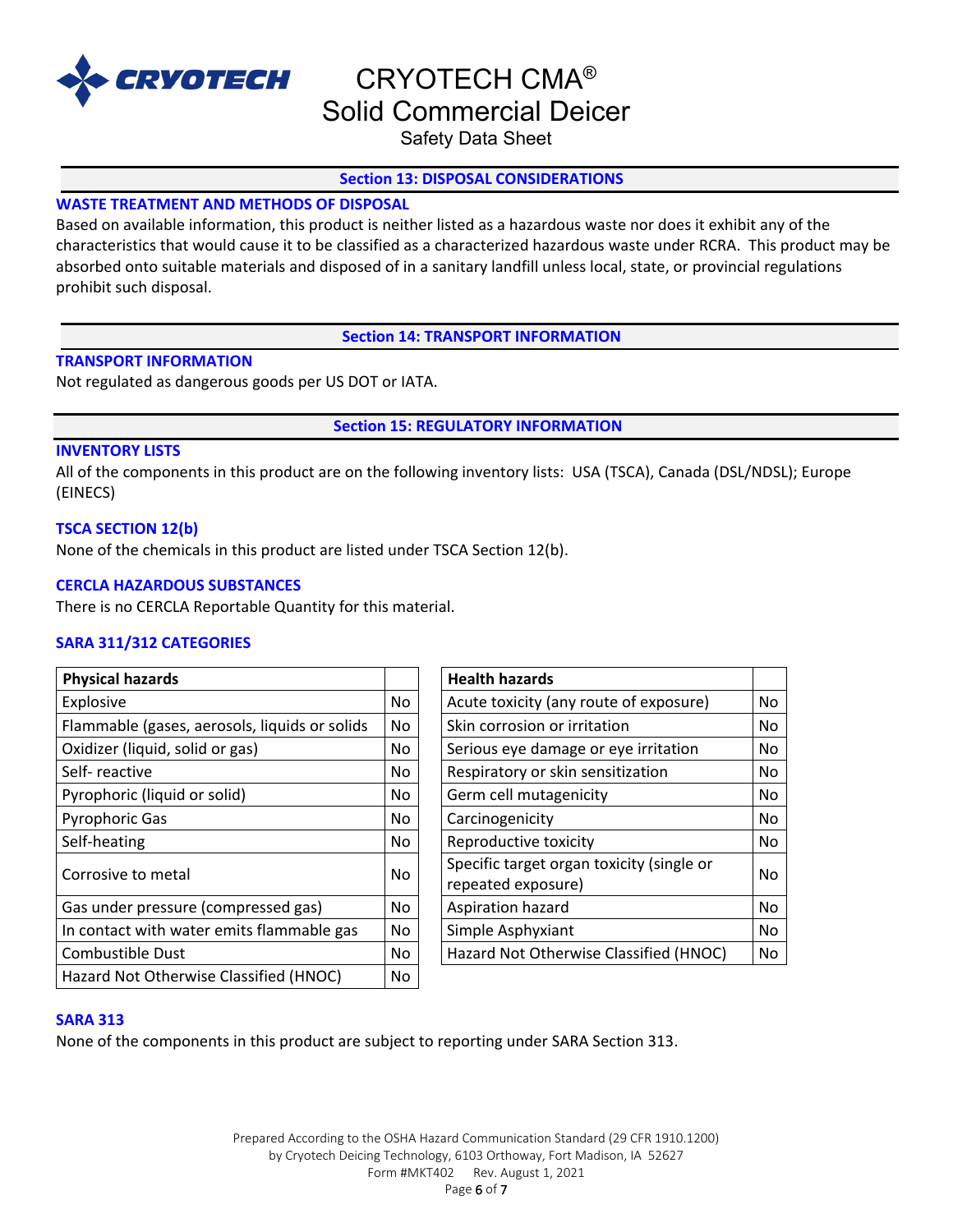

Safety Data Sheet

# **Section 13: DISPOSAL CONSIDERATIONS**

# **WASTE TREATMENT AND METHODS OF DISPOSAL**

Based on available information, this product is neither listed as a hazardous waste nor does it exhibit any of the characteristics that would cause it to be classified as a characterized hazardous waste under RCRA. This product may be absorbed onto suitable materials and disposed of in a sanitary landfill unless local, state, or provincial regulations prohibit such disposal.

**Section 14: TRANSPORT INFORMATION**

# **TRANSPORT INFORMATION**

Not regulated as dangerous goods per US DOT or IATA.

**Section 15: REGULATORY INFORMATION**

# **INVENTORY LISTS**

All of the components in this product are on the following inventory lists: USA (TSCA), Canada (DSL/NDSL); Europe (EINECS)

# **TSCA SECTION 12(b)**

None of the chemicals in this product are listed under TSCA Section 12(b).

#### **CERCLA HAZARDOUS SUBSTANCES**

There is no CERCLA Reportable Quantity for this material.

# **SARA 311/312 CATEGORIES**

| <b>Physical hazards</b>                       |           | <b>Health hazards</b>                                           |    |
|-----------------------------------------------|-----------|-----------------------------------------------------------------|----|
| Explosive                                     | No.       | Acute toxicity (any route of exposure)                          | No |
| Flammable (gases, aerosols, liquids or solids | <b>No</b> | Skin corrosion or irritation                                    | No |
| Oxidizer (liquid, solid or gas)               | No        | Serious eye damage or eye irritation                            | No |
| Self-reactive                                 | No        | Respiratory or skin sensitization                               | No |
| Pyrophoric (liquid or solid)                  | No.       | Germ cell mutagenicity                                          | No |
| <b>Pyrophoric Gas</b>                         | No        | Carcinogenicity                                                 | No |
| Self-heating                                  | No.       | Reproductive toxicity                                           | No |
| Corrosive to metal                            | No.       | Specific target organ toxicity (single or<br>repeated exposure) | No |
| Gas under pressure (compressed gas)           | No.       | Aspiration hazard                                               | No |
| In contact with water emits flammable gas     | No        | Simple Asphyxiant                                               | No |
| <b>Combustible Dust</b>                       | No.       | Hazard Not Otherwise Classified (HNOC)                          | No |
| Hazard Not Otherwise Classified (HNOC)        | No        |                                                                 |    |

| <b>Health hazards</b>                     |    |
|-------------------------------------------|----|
| Acute toxicity (any route of exposure)    | No |
| Skin corrosion or irritation              | No |
| Serious eye damage or eye irritation      | No |
| Respiratory or skin sensitization         | No |
| Germ cell mutagenicity                    | No |
| Carcinogenicity                           | No |
| Reproductive toxicity                     | No |
| Specific target organ toxicity (single or |    |
| N٥<br>repeated exposure)                  |    |
| Aspiration hazard                         | No |
| Simple Asphyxiant                         | No |
| Hazard Not Otherwise Classified (HNOC)    | No |

#### **SARA 313**

None of the components in this product are subject to reporting under SARA Section 313.